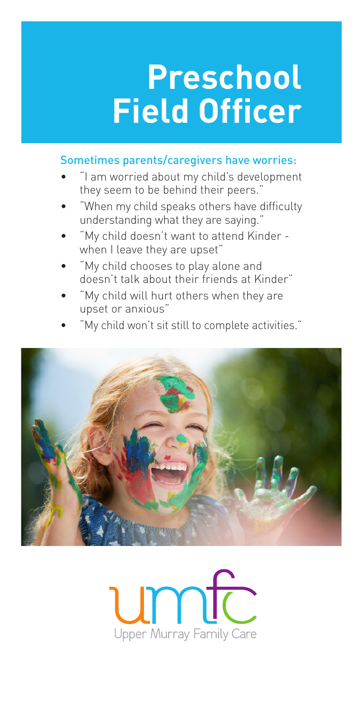# **Preschool Field Officer**

### Sometimes parents/caregivers have worries:

- "I am worried about my child's development they seem to be behind their peers."
- "When my child speaks others have difficulty understanding what they are saying."
- "My child doesn't want to attend Kinder when I leave they are upset"
- "My child chooses to play alone and doesn't talk about their friends at Kinder"
- "My child will hurt others when they are upset or anxious"
- "My child won't sit still to complete activities."